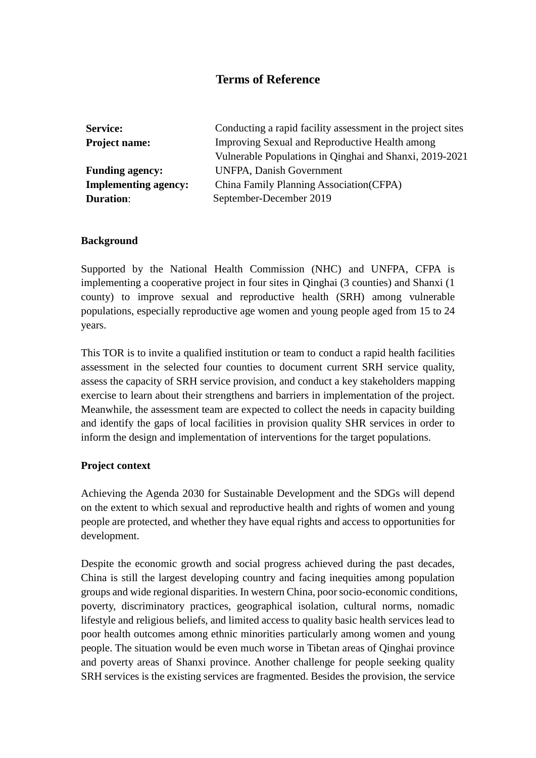# **Terms of Reference**

| <b>Service:</b>             | Conducting a rapid facility assessment in the project sites |  |  |  |  |  |
|-----------------------------|-------------------------------------------------------------|--|--|--|--|--|
| <b>Project name:</b>        | Improving Sexual and Reproductive Health among              |  |  |  |  |  |
|                             | Vulnerable Populations in Qinghai and Shanxi, 2019-2021     |  |  |  |  |  |
| <b>Funding agency:</b>      | <b>UNFPA, Danish Government</b>                             |  |  |  |  |  |
| <b>Implementing agency:</b> | China Family Planning Association (CFPA)                    |  |  |  |  |  |
| <b>Duration:</b>            | September-December 2019                                     |  |  |  |  |  |

### **Background**

Supported by the National Health Commission (NHC) and UNFPA, CFPA is implementing a cooperative project in four sites in Qinghai (3 counties) and Shanxi (1 county) to improve sexual and reproductive health (SRH) among vulnerable populations, especially reproductive age women and young people aged from 15 to 24 years.

This TOR is to invite a qualified institution or team to conduct a rapid health facilities assessment in the selected four counties to document current SRH service quality, assess the capacity of SRH service provision, and conduct a key stakeholders mapping exercise to learn about their strengthens and barriers in implementation of the project. Meanwhile, the assessment team are expected to collect the needs in capacity building and identify the gaps of local facilities in provision quality SHR services in order to inform the design and implementation of interventions for the target populations.

#### **Project context**

Achieving the Agenda 2030 for Sustainable Development and the SDGs will depend on the extent to which sexual and reproductive health and rights of women and young people are protected, and whether they have equal rights and access to opportunities for development.

Despite the economic growth and social progress achieved during the past decades, China is still the largest developing country and facing inequities among population groups and wide regional disparities. In western China, poor socio-economic conditions, poverty, discriminatory practices, geographical isolation, cultural norms, nomadic lifestyle and religious beliefs, and limited access to quality basic health services lead to poor health outcomes among ethnic minorities particularly among women and young people. The situation would be even much worse in Tibetan areas of Qinghai province and poverty areas of Shanxi province. Another challenge for people seeking quality SRH services is the existing services are fragmented. Besides the provision, the service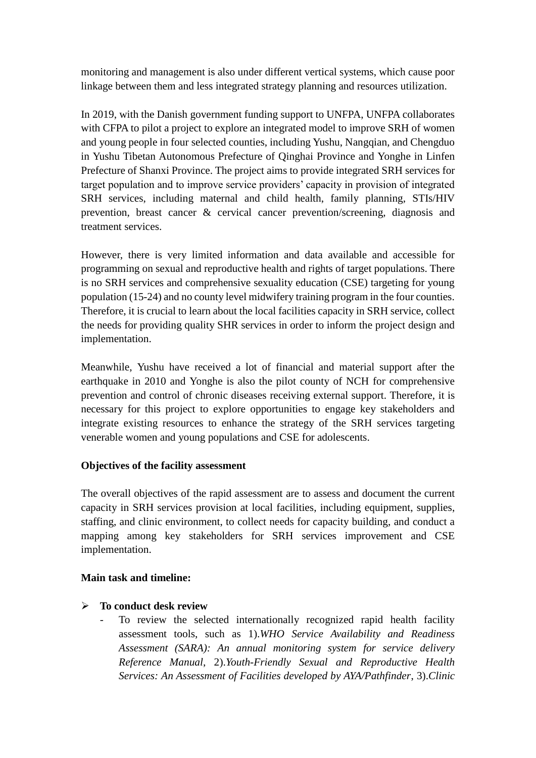monitoring and management is also under different vertical systems, which cause poor linkage between them and less integrated strategy planning and resources utilization.

In 2019, with the Danish government funding support to UNFPA, UNFPA collaborates with CFPA to pilot a project to explore an integrated model to improve SRH of women and young people in four selected counties, including Yushu, Nangqian, and Chengduo in Yushu Tibetan Autonomous Prefecture of Qinghai Province and Yonghe in Linfen Prefecture of Shanxi Province. The project aims to provide integrated SRH services for target population and to improve service providers' capacity in provision of integrated SRH services, including maternal and child health, family planning, STIs/HIV prevention, breast cancer & cervical cancer prevention/screening, diagnosis and treatment services.

However, there is very limited information and data available and accessible for programming on sexual and reproductive health and rights of target populations. There is no SRH services and comprehensive sexuality education (CSE) targeting for young population (15-24) and no county level midwifery training program in the four counties. Therefore, it is crucial to learn about the local facilities capacity in SRH service, collect the needs for providing quality SHR services in order to inform the project design and implementation.

Meanwhile, Yushu have received a lot of financial and material support after the earthquake in 2010 and Yonghe is also the pilot county of NCH for comprehensive prevention and control of chronic diseases receiving external support. Therefore, it is necessary for this project to explore opportunities to engage key stakeholders and integrate existing resources to enhance the strategy of the SRH services targeting venerable women and young populations and CSE for adolescents.

## **Objectives of the facility assessment**

The overall objectives of the rapid assessment are to assess and document the current capacity in SRH services provision at local facilities, including equipment, supplies, staffing, and clinic environment, to collect needs for capacity building, and conduct a mapping among key stakeholders for SRH services improvement and CSE implementation.

## **Main task and timeline:**

## **To conduct desk review**

To review the selected internationally recognized rapid health facility assessment tools, such as 1).*WHO Service Availability and Readiness Assessment (SARA): An annual monitoring system for service delivery Reference Manual*, 2).*Youth-Friendly Sexual and Reproductive Health Services: An Assessment of Facilities developed by AYA/Pathfinder*, 3).*Clinic*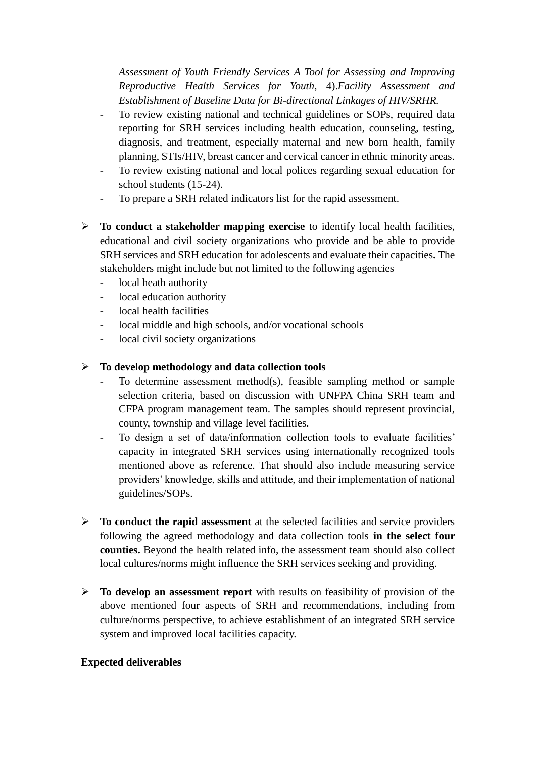*Assessment of Youth Friendly Services A Tool for Assessing and Improving Reproductive Health Services for Youth*, 4).*Facility Assessment and Establishment of Baseline Data for Bi-directional Linkages of HIV/SRHR.*

- To review existing national and technical guidelines or SOPs, required data reporting for SRH services including health education, counseling, testing, diagnosis, and treatment, especially maternal and new born health, family planning, STIs/HIV, breast cancer and cervical cancer in ethnic minority areas.
- To review existing national and local polices regarding sexual education for school students (15-24).
- To prepare a SRH related indicators list for the rapid assessment.
- **To conduct a stakeholder mapping exercise** to identify local health facilities, educational and civil society organizations who provide and be able to provide SRH services and SRH education for adolescents and evaluate their capacities**.** The stakeholders might include but not limited to the following agencies
	- local heath authority
	- local education authority
	- local health facilities
	- local middle and high schools, and/or vocational schools
	- local civil society organizations

## **To develop methodology and data collection tools**

- To determine assessment method(s), feasible sampling method or sample selection criteria, based on discussion with UNFPA China SRH team and CFPA program management team. The samples should represent provincial, county, township and village level facilities.
- To design a set of data/information collection tools to evaluate facilities' capacity in integrated SRH services using internationally recognized tools mentioned above as reference. That should also include measuring service providers' knowledge, skills and attitude, and their implementation of national guidelines/SOPs.
- **To conduct the rapid assessment** at the selected facilities and service providers following the agreed methodology and data collection tools **in the select four counties.** Beyond the health related info, the assessment team should also collect local cultures/norms might influence the SRH services seeking and providing.
- **To develop an assessment report** with results on feasibility of provision of the above mentioned four aspects of SRH and recommendations, including from culture/norms perspective, to achieve establishment of an integrated SRH service system and improved local facilities capacity.

## **Expected deliverables**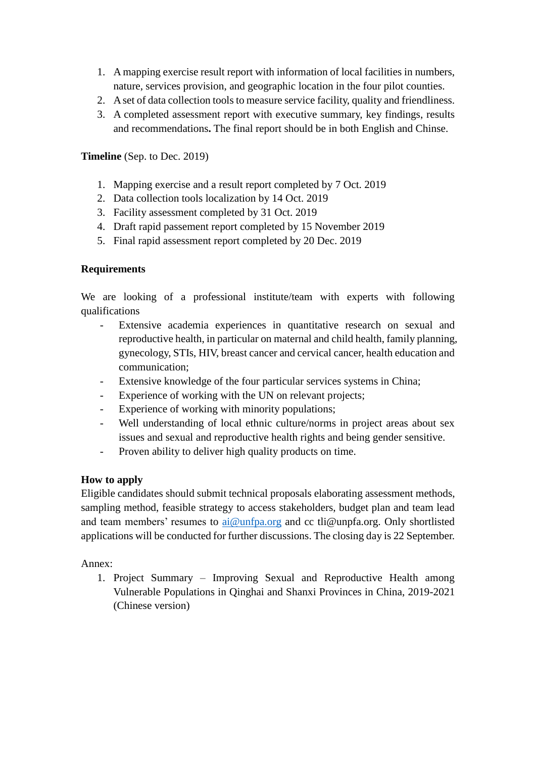- 1. A mapping exercise result report with information of local facilities in numbers, nature, services provision, and geographic location in the four pilot counties.
- 2. A set of data collection tools to measure service facility, quality and friendliness.
- 3. A completed assessment report with executive summary, key findings, results and recommendations**.** The final report should be in both English and Chinse.

# **Timeline** (Sep. to Dec. 2019)

- 1. Mapping exercise and a result report completed by 7 Oct. 2019
- 2. Data collection tools localization by 14 Oct. 2019
- 3. Facility assessment completed by 31 Oct. 2019
- 4. Draft rapid passement report completed by 15 November 2019
- 5. Final rapid assessment report completed by 20 Dec. 2019

## **Requirements**

We are looking of a professional institute/team with experts with following qualifications

- Extensive academia experiences in quantitative research on sexual and reproductive health, in particular on maternal and child health, family planning, gynecology, STIs, HIV, breast cancer and cervical cancer, health education and communication;
- Extensive knowledge of the four particular services systems in China;
- Experience of working with the UN on relevant projects;
- Experience of working with minority populations;
- Well understanding of local ethnic culture/norms in project areas about sex issues and sexual and reproductive health rights and being gender sensitive.
- Proven ability to deliver high quality products on time.

## **How to apply**

Eligible candidates should submit technical proposals elaborating assessment methods, sampling method, feasible strategy to access stakeholders, budget plan and team lead and team members' resumes to  $a$ i $@$ unfpa.org and cc tli $@$ unpfa.org. Only shortlisted applications will be conducted for further discussions. The closing day is 22 September.

Annex:

1. Project Summary – Improving Sexual and Reproductive Health among Vulnerable Populations in Qinghai and Shanxi Provinces in China, 2019-2021 (Chinese version)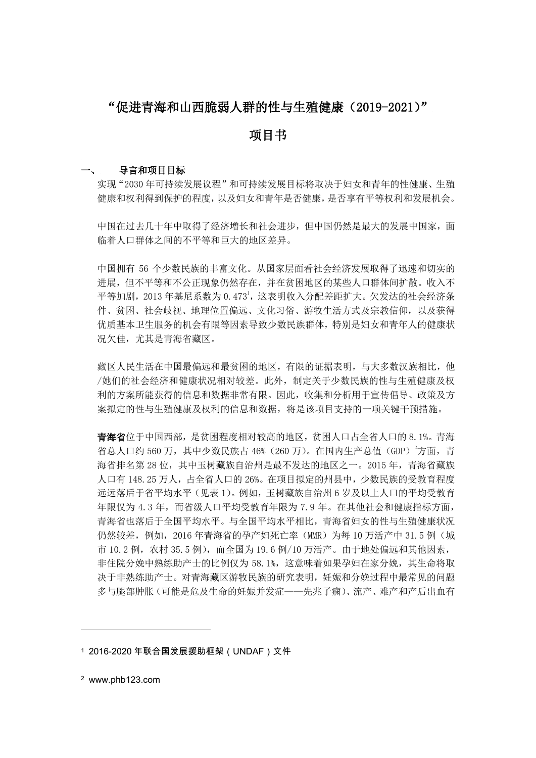# "促进青海和山西脆弱人群的性与生殖健康(2019-2021)"

# 项目书

#### 一、 导言和项目目标

实现"2030 年可持续发展议程"和可持续发展目标将取决于妇女和青年的性健康、生殖 健康和权利得到保护的程度,以及妇女和青年是否健康,是否享有平等权利和发展机会。

中国在过去几十年中取得了经济增长和社会进步,但中国仍然是最大的发展中国家,面 临着人口群体之间的不平等和巨大的地区差异。

中国拥有 56 个少数民族的丰富文化。从国家层面看社会经济发展取得了迅速和切实的 进展,但不平等和不公正现象仍然存在,并在贫困地区的某些人口群体间扩散。收入不 平等加剧, 2013 年基尼系数为  $0.473<sup>1</sup>$ , 这表明收入分配差距扩大。欠发达的社会经济条 件、贫困、社会歧视、地理位置偏远、文化习俗、游牧生活方式及宗教信仰,以及获得 优质基本卫生服务的机会有限等因素导致少数民族群体,特别是妇女和青年人的健康状 况欠佳,尤其是青海省藏区。

藏区人民生活在中国最偏远和最贫困的地区,有限的证据表明,与大多数汉族相比,他 /她们的社会经济和健康状况相对较差。此外,制定关于少数民族的性与生殖健康及权 利的方案所能获得的信息和数据非常有限。因此,收集和分析用于宣传倡导、政策及方 案拟定的性与生殖健康及权利的信息和数据,将是该项目支持的一项关键干预措施。

青海省位于中国西部,是贫困程度相对较高的地区,贫困人口占全省人口的 8.1%。青海 省总人口约 560 万, 其中少数民族占 46% (260 万)。在国内生产总值 (GDP) <sup>2</sup>方面, 青 海省排名第 28 位,其中玉树藏族自治州是最不发达的地区之一。2015 年,青海省藏族 人口有 148.25 万人,占全省人口的 26%。在项目拟定的州县中,少数民族的受教育程度 远远落后于省平均水平(见表 1)。例如,玉树藏族自治州 6 岁及以上人口的平均受教育 年限仅为 4.3 年,而省级人口平均受教育年限为 7.9 年。在其他社会和健康指标方面, 青海省也落后于全国平均水平。与全国平均水平相比,青海省妇女的性与生殖健康状况 仍然较差,例如,2016年青海省的孕产妇死亡率(MMR)为每 10 万活产中 31.5 例(城 市 10.2 例,农村 35.5 例),而全国为 19.6 例/10 万活产。由于地处偏远和其他因素, 非住院分娩中熟练助产士的比例仅为 58.1%, 这意味着如果孕妇在家分娩,其生命将取 决于非熟练助产士。对青海藏区游牧民族的研究表明,妊娠和分娩过程中最常见的问题 多与腿部肿胀(可能是危及生命的妊娠并发症——先兆子痫)、流产、难产和产后出血有

1

<sup>1</sup> 2016-2020 年联合国发展援助框架(UNDAF)文件

<sup>2</sup> www.phb123.com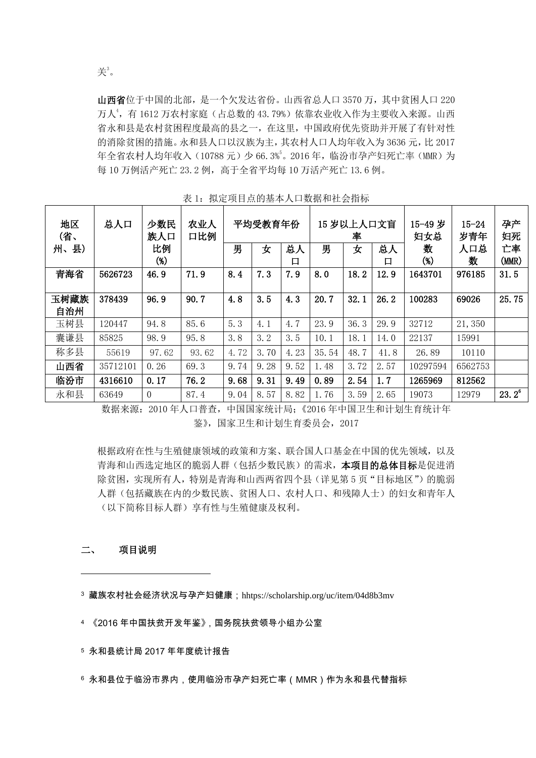山西省位于中国的北部,是一个欠发达省份。山西省总人口 3570 万,其中贫困人口 220 万人<sup>4</sup>,有 1612 万农村家庭(占总数的 43.79%)依靠农业收入作为主要收入来源。山西 省永和县是农村贫困程度最高的县之一,在这里,中国政府优先资助并开展了有针对性 的消除贫困的措施。永和县人口以汉族为主,其农村人口人均年收入为 3636 元,比 2017 年全省农村人均年收入(10788元)少 66.3%5。2016年,临汾市孕产妇死亡率(MMR)为 每 10 万例活产死亡 23.2 例, 高于全省平均每 10 万活产死亡 13.6 例。

| 地区<br>(省、<br>州、县) | 总人口      | 少数民<br>族人口<br>比例<br>$(\%)$ | 农业人<br>口比例 | 男    | 平均受教育年份<br>女 | 总人<br>口 | 男     | 15 岁以上人口文盲<br>率<br>女 | 总人<br>口 | 15-49 岁<br>妇女总<br>数<br>$(% )^{(1)}$ | $15 - 24$<br>岁青年<br>人口总<br>数 | 孕产<br>妇死<br>亡率<br>(MMR) |
|-------------------|----------|----------------------------|------------|------|--------------|---------|-------|----------------------|---------|-------------------------------------|------------------------------|-------------------------|
| 青海省               | 5626723  | 46.9                       | 71.9       | 8.4  | 7.3          | 7.9     | 8.0   | 18.2                 | 12.9    | 1643701                             | 976185                       | 31.5                    |
| 玉树藏族<br>自治州       | 378439   | 96.9                       | 90.7       | 4.8  | 3.5          | 4.3     | 20.7  | 32.1                 | 26.2    | 100283                              | 69026                        | 25.75                   |
| 玉树县               | 120447   | 94.8                       | 85.6       | 5.3  | 4.1          | 4.7     | 23.9  | 36.3                 | 29.9    | 32712                               | 21,350                       |                         |
| 囊谦县               | 85825    | 98.9                       | 95.8       | 3.8  | 3.2          | 3.5     | 10.1  | 18.1                 | 14.0    | 22137                               | 15991                        |                         |
| 称多县               | 55619    | 97.62                      | 93.62      | 4.72 | 3.70         | 4.23    | 35.54 | 48.7                 | 41.8    | 26.89                               | 10110                        |                         |
| 山西省               | 35712101 | 0.26                       | 69.3       | 9.74 | 9.28         | 9.52    | 1.48  | 3.72                 | 2.57    | 10297594                            | 6562753                      |                         |
| 临汾市               | 4316610  | 0.17                       | 76.2       | 9.68 | 9.31         | 9.49    | 0.89  | 2.54                 | 1, 7    | 1265969                             | 812562                       |                         |
| 永和县               | 63649    | $\Omega$                   | 87.4       | 9.04 | 8.57         | 8.82    | 1.76  | 3.59                 | 2.65    | 19073                               | 12979                        | $23.2^6$                |

表 1: 拟定项目点的基本人口数据和社会指标

数据来源:2010 年人口普查,中国国家统计局;《2016 年中国卫生和计划生育统计年 鉴》,国家卫生和计划生育委员会,2017

根据政府在性与生殖健康领域的政策和方案、联合国人口基金在中国的优先领域,以及 青海和山西选定地区的脆弱人群(包括少数民族)的需求,本项目的总体目标是促进消 除贫困,实现所有人,特别是青海和山西两省四个县(详见第5页"目标地区")的脆弱 人群(包括藏族在内的少数民族、贫困人口、农村人口、和残障人士)的妇女和青年人 (以下简称目标人群)享有性与生殖健康及权利。

#### 二、 项目说明

-

<sup>3</sup> 藏族农村社会经济状况与孕产妇健康;hhtps://scholarship.org/uc/item/04d8b3mv

- <sup>4</sup> 《2016 年中国扶贫开发年鉴》,国务院扶贫领导小组办公室
- <sup>5</sup> 永和县统计局 2017 年年度统计报告
- <sup>6</sup> 永和县位于临汾市界内,使用临汾市孕产妇死亡率(MMR)作为永和县代替指标

关 <sup>3</sup>。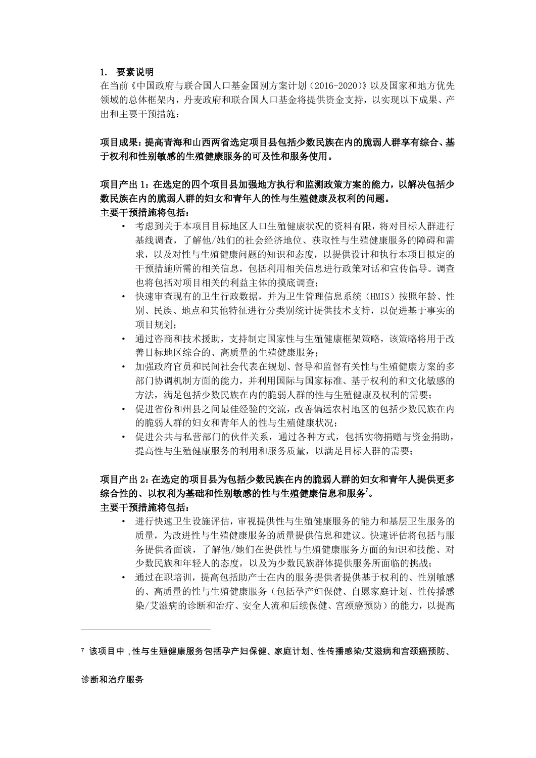#### 1. 要素说明

在当前《中国政府与联合国人口基金国别方案计划(2016-2020)》以及国家和地方优先 领域的总体框架内,丹麦政府和联合国人口基金将提供资金支持,以实现以下成果、产 出和主要干预措施:

项目成果:提高青海和山西两省选定项目县包括少数民族在内的脆弱人群享有综合、基 于权利和性别敏感的生殖健康服务的可及性和服务使用。

## 项目产出 1:在选定的四个项目县加强地方执行和监测政策方案的能力,以解决包括少 数民族在内的脆弱人群的妇女和青年人的性与生殖健康及权利的问题。 主要干预措施将包括:

- · 考虑到关于本项目目标地区人口生殖健康状况的资料有限,将对目标人群进行 基线调查,了解他/她们的社会经济地位、获取性与生殖健康服务的障碍和需 求,以及对性与生殖健康问题的知识和态度,以提供设计和执行本项目拟定的 干预措施所需的相关信息,包括利用相关信息进行政策对话和宣传倡导。调查 也将包括对项目相关的利益主体的摸底调查;
- · 快速审查现有的卫生行政数据,并为卫生管理信息系统(HMIS)按照年龄、性 别、民族、地点和其他特征进行分类别统计提供技术支持,以促进基于事实的 项目规划;
- · 通过咨商和技术援助,支持制定国家性与生殖健康框架策略,该策略将用于改 善目标地区综合的、高质量的生殖健康服务;
- · 加强政府官员和民间社会代表在规划、督导和监督有关性与生殖健康方案的多 部门协调机制方面的能力,并利用国际与国家标准、基于权利的和文化敏感的 方法,满足包括少数民族在内的脆弱人群的性与生殖健康及权利的需要;
- · 促进省份和州县之间最佳经验的交流,改善偏远农村地区的包括少数民族在内 的脆弱人群的妇女和青年人的性与生殖健康状况;
- · 促进公共与私营部门的伙伴关系,通过各种方式,包括实物捐赠与资金捐助, 提高性与生殖健康服务的利用和服务质量,以满足目标人群的需要;

## 项目产出 2:在选定的项目县为包括少数民族在内的脆弱人群的妇女和青年人提供更多 综合性的、以权利为基础和性别敏感的性与生殖健康信息和服务"。 主要干预措施将包括:

- · 进行快速卫生设施评估,审视提供性与生殖健康服务的能力和基层卫生服务的 质量,为改进性与生殖健康服务的质量提供信息和建议。快速评估将包括与服 务提供者面谈,了解他/她们在提供性与生殖健康服务方面的知识和技能、对 少数民族和年轻人的态度,以及为少数民族群体提供服务所面临的挑战;
- · 通过在职培训,提高包括助产士在内的服务提供者提供基于权利的、性别敏感 的、高质量的性与生殖健康服务(包括孕产妇保健、自愿家庭计划、性传播感 染/艾滋病的诊断和治疗、安全人流和后续保健、宫颈癌预防)的能力,以提高

#### 诊断和治疗服务

1

<sup>7</sup> 该项目中,性与生殖健康服务包括孕产妇保健、家庭计划、性传播感染/艾滋病和宫颈癌预防、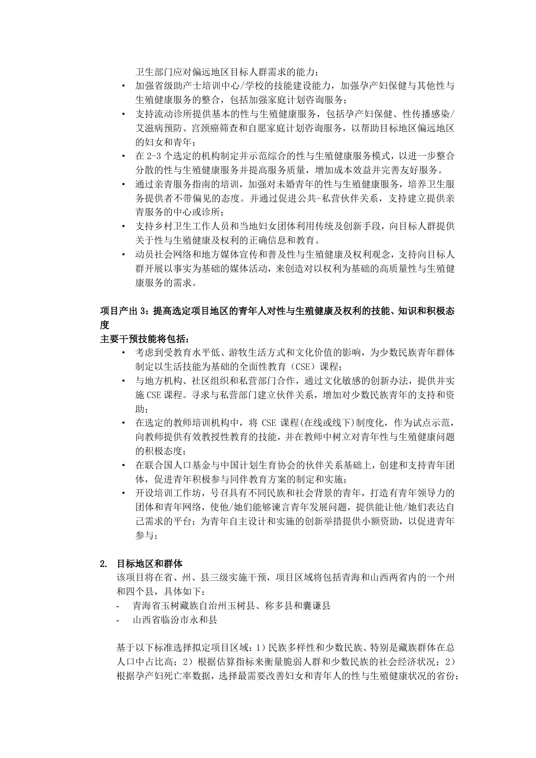卫生部门应对偏远地区目标人群需求的能力;

- · 加强省级助产士培训中心/学校的技能建设能力,加强孕产妇保健与其他性与 生殖健康服务的整合,包括加强家庭计划咨询服务;
- · 支持流动诊所提供基本的性与生殖健康服务,包括孕产妇保健、性传播感染/ 艾滋病预防、宫颈癌筛查和自愿家庭计划咨询服务,以帮助目标地区偏远地区 的妇女和青年;
- · 在 2-3 个选定的机构制定并示范综合的性与生殖健康服务模式,以进一步整合 分散的性与生殖健康服务并提高服务质量,增加成本效益并完善友好服务。
- · 通过亲青服务指南的培训,加强对未婚青年的性与生殖健康服务,培养卫生服 务提供者不带偏见的态度。并通过促进公共-私营伙伴关系,支持建立提供亲 青服务的中心或诊所;
- · 支持乡村卫生工作人员和当地妇女团体利用传统及创新手段,向目标人群提供 关于性与生殖健康及权利的正确信息和教育。
- · 动员社会网络和地方媒体宣传和普及性与生殖健康及权利观念,支持向目标人 群开展以事实为基础的媒体活动,来创造对以权利为基础的高质量性与生殖健 康服务的需求。

# 项目产出 3:提高选定项目地区的青年人对性与生殖健康及权利的技能、知识和积极态 度

#### 主要干预技能将包括:

- · 考虑到受教育水平低、游牧生活方式和文化价值的影响,为少数民族青年群体 制定以生活技能为基础的全面性教育(CSE)课程;
- · 与地方机构、社区组织和私营部门合作,通过文化敏感的创新办法,提供并实 施 CSE 课程。寻求与私营部门建立伙伴关系,增加对少数民族青年的支持和资 助;
- · 在选定的教师培训机构中,将 CSE 课程(在线或线下)制度化,作为试点示范, 向教师提供有效教授性教育的技能,并在教师中树立对青年性与生殖健康问题 的积极态度;
- · 在联合国人口基金与中国计划生育协会的伙伴关系基础上,创建和支持青年团 体,促进青年积极参与同伴教育方案的制定和实施;
- · 开设培训工作坊,号召具有不同民族和社会背景的青年,打造有青年领导力的 团体和青年网络,使他/她们能够谏言青年发展问题,提供能让他/她们表达自 己需求的平台;为青年自主设计和实施的创新举措提供小额资助,以促进青年 参与;

#### 2. 目标地区和群体

该项目将在省、州、县三级实施干预,项目区域将包括青海和山西两省内的一个州 和四个县,具体如下:

- 青海省玉树藏族自治州玉树县、称多县和囊谦县
- 山西省临汾市永和县

基于以下标准选择拟定项目区域:1)民族多样性和少数民族、特别是藏族群体在总 人口中占比高;2)根据估算指标来衡量脆弱人群和少数民族的社会经济状况;2) 根据孕产妇死亡率数据,选择最需要改善妇女和青年人的性与生殖健康状况的省份;